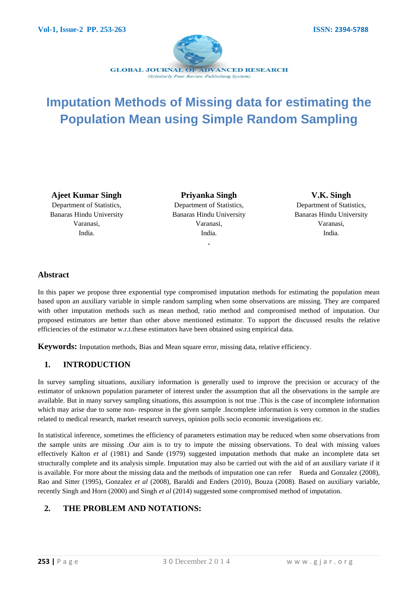

# **Imputation Methods of Missing data for estimating the Population Mean using Simple Random Sampling**

**Ajeet Kumar Singh** Department of Statistics, Banaras Hindu University Varanasi, India.

**Priyanka Singh** Department of Statistics, Banaras Hindu University Varanasi, India.

**.**

**V.K. Singh** Department of Statistics, Banaras Hindu University Varanasi, India.

#### **Abstract**

In this paper we propose three exponential type compromised imputation methods for estimating the population mean based upon an auxiliary variable in simple random sampling when some observations are missing. They are compared with other imputation methods such as mean method, ratio method and compromised method of imputation. Our proposed estimators are better than other above mentioned estimator. To support the discussed results the relative efficiencies of the estimator w.r.t.these estimators have been obtained using empirical data.

**Keywords:** Imputation methods, Bias and Mean square error, missing data, relative efficiency.

### **1. INTRODUCTION**

In survey sampling situations, auxiliary information is generally used to improve the precision or accuracy of the estimator of unknown population parameter of interest under the assumption that all the observations in the sample are available. But in many survey sampling situations, this assumption is not true .This is the case of incomplete information which may arise due to some non- response in the given sample .Incomplete information is very common in the studies related to medical research, market research surveys, opinion polls socio economic investigations etc.

In statistical inference, sometimes the efficiency of parameters estimation may be reduced when some observations from the sample units are missing .Our aim is to try to impute the missing observations. To deal with missing values effectively Kalton *et al* (1981) and Sande (1979) suggested imputation methods that make an incomplete data set structurally complete and its analysis simple. Imputation may also be carried out with the aid of an auxiliary variate if it is available. For more about the missing data and the methods of imputation one can refer Rueda and Gonzalez (2008), Rao and Sitter (1995), Gonzalez *et al* (2008), Baraldi and Enders (2010), Bouza (2008). Based on auxiliary variable, recently Singh and Horn (2000) and Singh *et al* (2014) suggested some compromised method of imputation.

# **2. THE PROBLEM AND NOTATIONS:**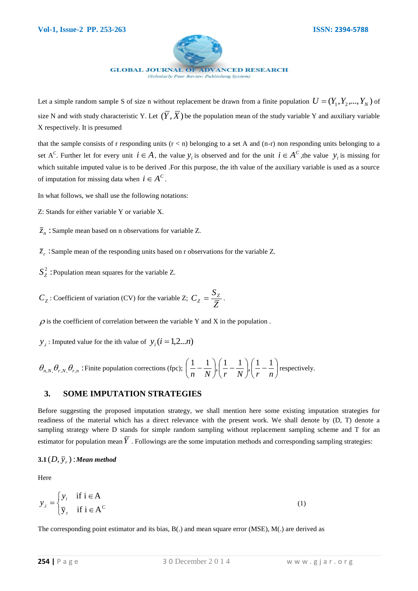

Let a simple random sample S of size n without replacement be drawn from a finite population  $U = (Y_1, Y_2, ..., Y_N)$  of size N and with study characteristic Y. Let  $(Y, X)$  be the population mean of the study variable Y and auxiliary variable X respectively. It is presumed

that the sample consists of r responding units  $(r < n)$  belonging to a set A and  $(n-r)$  non responding units belonging to a set A<sup>C</sup>. Further let for every unit  $i \in A$ , the value  $y_i$  is observed and for the unit  $i \in A^C$ , the value  $y_i$  is missing for which suitable imputed value is to be derived. For this purpose, the ith value of the auxiliary variable is used as a source of imputation for missing data when  $i \in A^C$ .

In what follows, we shall use the following notations:

- Z: Stands for either variable Y or variable X.
- $\overline{z}_n$ : Sample mean based on n observations for variable Z.

 $\bar{z}_r$ : Sample mean of the responding units based on r observations for the variable Z.

 $S_Z^2$ : Population mean squares for the variable Z.

 $C_Z$ : Coefficient of variation (CV) for the variable Z;  $C_Z = \frac{Z_Z}{Z}$  $C_Z = \frac{S_Z}{\overline{Z}}$ .

 $\rho$  is the coefficient of correlation between the variable Y and X in the population.

*y*<sub>*i*</sub>: Imputed value for the ith value of  $y_i$  ( $i = 1,2...n$ )

$$
\theta_{n,N}
$$
,  $\theta_{r,N}$ ,  $\theta_{r,n}$ : Finite population corrections (fpc);  $\left(\frac{1}{n} - \frac{1}{N}\right)$ ,  $\left(\frac{1}{r} - \frac{1}{N}\right)$ ,  $\left(\frac{1}{r} - \frac{1}{n}\right)$  respectively.

#### **3. SOME IMPUTATION STRATEGIES**

Before suggesting the proposed imputation strategy, we shall mention here some existing imputation strategies for readiness of the material which has a direct relevance with the present work. We shall denote by (D, T) denote a sampling strategy where D stands for simple random sampling without replacement sampling scheme and T for an estimator for population mean  $Y$ . Followings are the some imputation methods and corresponding sampling strategies:

# $\mathbf{3.1}\textcolor{red}{(D,\bar{\textbf{y}}_r)}$  : Mean method

Here

$$
y_{i} = \begin{cases} y_{i} & \text{if } i \in A \\ \overline{y}_{r} & \text{if } i \in A^{C} \end{cases}
$$
 (1)

The corresponding point estimator and its bias, B(.) and mean square error (MSE), M(.) are derived as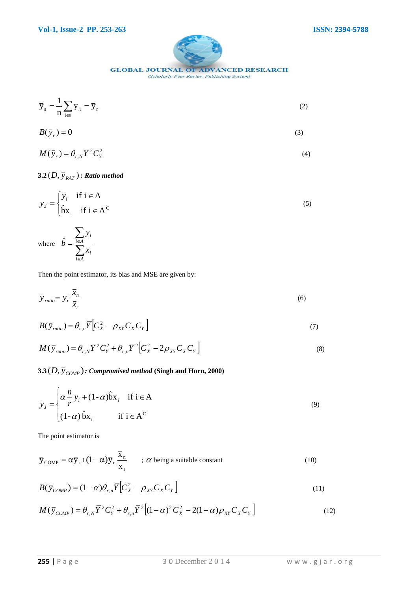

**GLOBAL JOURNAL OF ADVANCED RESEARCH** 

(Scholarly Peer Review Publishing System)

$$
\overline{y}_s = \frac{1}{n} \sum_{i \in s} y_i = \overline{y}_r
$$
 (2)

$$
B(\bar{y}_r) = 0 \tag{3}
$$

$$
M(\bar{y}_r) = \theta_{r,N} \bar{Y}^2 C_Y^2
$$
 (4)

 $\mathbf{3.2}\left( D,\bar{\mathbf{y}}_{\mathit{RAT}}\right)$  *: Ratio method* 

$$
y_{i} = \begin{cases} y_{i} & \text{if } i \in A \\ \hat{b}x_{i} & \text{if } i \in A^{C} \end{cases}
$$
 (5)

where  $b = \frac{1}{2}$  $\sum$  $\in$  $=\frac{i\epsilon}{\blacktriangledown}$  $i \in A$ *i*  $i \in A$ *i x y*  $\hat{b}$ 

Then the point estimator, its bias and MSE are given by:

$$
\overline{y}_{ratio} = \overline{y}_r \frac{\overline{x}_n}{\overline{x}_r} \tag{6}
$$

$$
B(\bar{y}_{ratio}) = \theta_{r,n} \overline{Y} \Big[ C_X^2 - \rho_{XY} C_X C_Y \Big] \tag{7}
$$

$$
M(\bar{y}_{ratio}) = \theta_{r,N} \overline{Y}^2 C_Y^2 + \theta_{r,n} \overline{Y}^2 \Big[ C_X^2 - 2\rho_{XY} C_X C_Y \Big]
$$
(8)

 $\mathbf{3.3} (D,\bar{\bm{{y}}}_{COMP})$  *: Compromised method (Singh and Horn, 2000)* 

$$
y_{i} = \begin{cases} \alpha \frac{n}{r} y_{i} + (1 - \alpha) \hat{b} x_{i} & \text{if } i \in A \\ (1 - \alpha) \hat{b} x_{i} & \text{if } i \in A \end{cases}
$$
(9)

The point estimator is

$$
\overline{y}_{\text{COMP}} = \alpha \overline{y}_r + (1 - \alpha) \overline{y}_r \frac{\overline{x}_n}{\overline{x}_r} \qquad ; \ \alpha \text{ being a suitable constant} \tag{10}
$$

$$
B(\bar{y}_{COMP}) = (1-\alpha)\theta_{r,n}\overline{Y}\Big[C_x^2 - \rho_{XY}C_XC_Y\Big]
$$
\n(11)

$$
M(\bar{y}_{COMP}) = \theta_{r,N} \bar{Y}^2 C_Y^2 + \theta_{r,n} \bar{Y}^2 \left[ (1-\alpha)^2 C_X^2 - 2(1-\alpha)\rho_{XY} C_X C_Y \right]
$$
(12)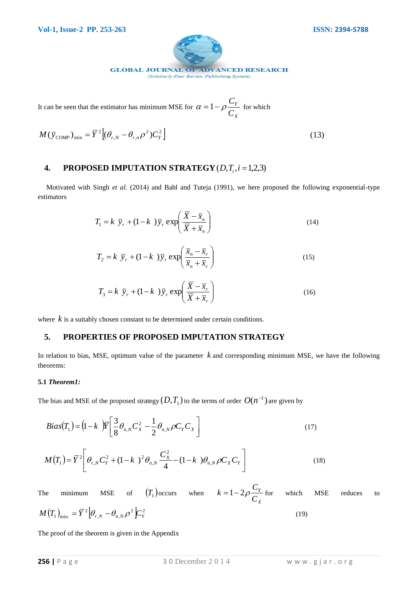

It can be seen that the estimator has minimum MSE for *X Y C*  $\alpha = 1 - \rho \frac{C_Y}{\sigma}$  for which

$$
M(\bar{y}_{COMP})_{\min} = \bar{Y}^2 \left[ (\theta_{r,N} - \theta_{r,n} \rho^2) C_Y^2 \right]
$$
 (13)

# **4. PROPOSED IMPUTATION STRATEGY**  $(D,T_i, i=1,2,3)$

 Motivated with Singh *et al*. (2014) and Bahl and Tuteja (1991), we here proposed the following exponential-type estimators

$$
T_1 = k \ \overline{y}_r + (1 - k \ )\overline{y}_r \exp\left(\frac{\overline{X} - \overline{x}_n}{\overline{X} + \overline{x}_n}\right) \tag{14}
$$

$$
T_2 = k \ \overline{y}_r + (1 - k \ )\overline{y}_r \exp\left(\frac{\overline{x}_n - \overline{x}_r}{\overline{x}_n + \overline{x}_r}\right) \tag{15}
$$

$$
T_3 = k \ \overline{y}_r + (1 - k \ )\overline{y}_r \exp\left(\frac{\overline{X} - \overline{x}_r}{\overline{X} + \overline{x}_r}\right) \tag{16}
$$

where  $k$  is a suitably chosen constant to be determined under certain conditions.

#### **5. PROPERTIES OF PROPOSED IMPUTATION STRATEGY**

In relation to bias, MSE, optimum value of the parameter  $k$  and corresponding minimum MSE, we have the following theorems:

#### **5.1** *Theorem1:*

The bias and MSE of the proposed strategy  $(D,T_1)$  to the terms of order  $\,O(n^{-1})$  are given by

$$
Bias(T_1) = (1 - k) \overline{Y} \left[ \frac{3}{8} \theta_{n,N} C_X^2 - \frac{1}{2} \theta_{n,N} \rho C_Y C_X \right]
$$
\n(17)

$$
M(T_1) = \overline{Y}^2 \left[ \theta_{r,N} C_Y^2 + (1 - k)^2 \theta_{n,N} \frac{C_X^2}{4} - (1 - k) \theta_{n,N} \rho C_X C_Y \right]
$$
(18)

The minimum MSE of  $(T_1)$  occurs when *X Y C*  $k = 1 - 2\rho \frac{C_Y}{C}$  for which MSE reduces to  $(T_1)_{\rm min} = \bar{Y}^2 |\theta_{rN} - \theta_{rN} \rho^2| C_{rV}^2$  $M\left(T_{1}\right)_{\text{min.}}=\overline{Y}^{2}\big[\theta_{r,N}-\theta_{n,N}\rho^{2}\big]$ C $_{Y}^{2}$ (19)

The proof of the theorem is given in the Appendix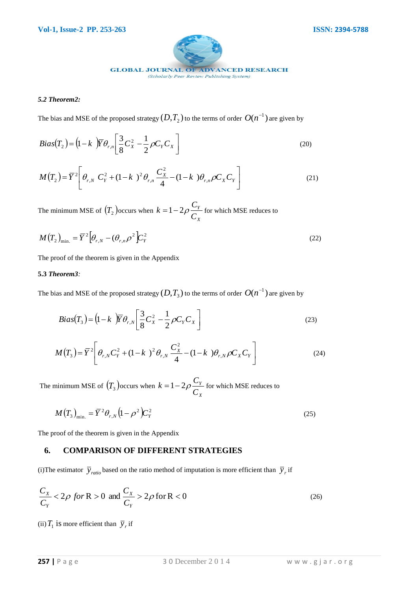

#### *5.2 Theorem2:*

The bias and MSE of the proposed strategy  $(D,T_{2})$  to the terms of order  $\,O(n^{-1})$  are given by

$$
Bias(T_2) = (1 - k) \overline{Y} \theta_{r,n} \left[ \frac{3}{8} C_X^2 - \frac{1}{2} \rho C_Y C_X \right]
$$
 (20)

$$
M(T_2) = \overline{Y}^2 \left[ \theta_{r,N} C_Y^2 + (1 - k)^2 \theta_{r,n} \frac{C_X^2}{4} - (1 - k) \theta_{r,n} \rho C_X C_Y \right]
$$
(21)

The minimum MSE of  $(T_2)$  occurs when *X Y C*  $k = 1 - 2\rho \frac{C_Y}{C}$  for which MSE reduces to

$$
M(T_2)_{\text{min.}} = \overline{Y}^2 \Big[ \theta_{r,N} - (\theta_{r,n} \rho^2) \Big] C_Y^2 \tag{22}
$$

The proof of the theorem is given in the Appendix

#### **5.3** *Theorem3:*

The bias and MSE of the proposed strategy  $(D,T_{3})$  to the terms of order  $\,O(n^{-1})$  are given by

$$
Bias(T_3) = (1 - k) \overline{Y} \theta_{r,N} \left[ \frac{3}{8} C_X^2 - \frac{1}{2} \rho C_Y C_X \right]
$$
 (23)

$$
M(T_3) = \overline{Y}^2 \left[ \theta_{r,N} C_Y^2 + (1 - k)^2 \theta_{r,N} \frac{C_X^2}{4} - (1 - k) \theta_{r,N} \rho C_X C_Y \right]
$$
(24)

The minimum MSE of  $(T_3)$  occurs when *X Y C*  $k = 1 - 2\rho \frac{C_Y}{C}$  for which MSE reduces to

$$
M(T_3)_{\text{min.}} = \overline{Y}^2 \theta_{r,N} \left( 1 - \rho^2 \right) C_Y^2 \tag{25}
$$

The proof of the theorem is given in the Appendix

## **6. COMPARISON OF DIFFERENT STRATEGIES**

(i) The estimator  $\bar{y}_{ratio}$  based on the ratio method of imputation is more efficient than  $\bar{y}_r$  if

$$
\frac{C_X}{C_Y} < 2\rho \text{ for } R > 0 \text{ and } \frac{C_X}{C_Y} > 2\rho \text{ for } R < 0 \tag{26}
$$

(ii)  $T_1$  is more efficient than  $\bar{y}_r$  if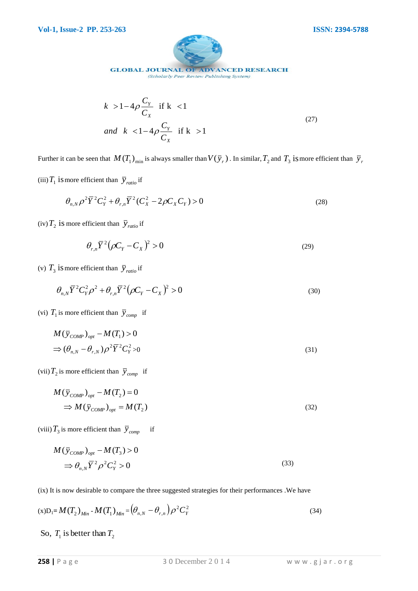

(Scholarly Peer Review Publishing System)

$$
k > 1 - 4\rho \frac{C_Y}{C_X} \quad \text{if } k < 1
$$
\n
$$
and \quad k < 1 - 4\rho \frac{C_Y}{C_X} \quad \text{if } k > 1
$$
\n
$$
(27)
$$

Further it can be seen that  $M(T_1)_{min}$  is always smaller than  $V(\bar{y}_r)$ . In similar,  $T_2$  and  $T_3$  is more efficient than  $\bar{y}_r$ 

(iii)  $T_1$  is more efficient than  $\bar{y}_{ratio}$  if

$$
\theta_{n,N} \rho^2 \overline{Y}^2 C_Y^2 + \theta_{r,n} \overline{Y}^2 (C_X^2 - 2\rho C_X C_Y) > 0
$$
\n(28)

(iv)  $T_2$  is more efficient than  $\bar{y}_{ratio}$  if

$$
\theta_{r,n}\overline{Y}^2\big(\rho C_Y - C_X\big)^2 > 0\tag{29}
$$

(v)  $T_3$  is more efficient than  $\bar{y}_{ratio}$  if

$$
\theta_{n,N} \overline{Y}^2 C_Y^2 \rho^2 + \theta_{r,n} \overline{Y}^2 (\rho C_Y - C_X)^2 > 0
$$
\n(30)

(vi)  $T_1$  is more efficient than  $\bar{y}_{comp}$  if

$$
M(\bar{y}_{COMP})_{opt} - M(T_1) > 0
$$
  
\n
$$
\Rightarrow (\theta_{n,N} - \theta_{r,N})\rho^2 \bar{Y}^2 C_Y^2 > 0
$$
\n(31)

(vii)  $T_2$  is more efficient than  $\bar{y}_{comp}$  if

$$
M(\bar{y}_{COMP})_{opt} - M(T_2) = 0
$$
  
\n
$$
\Rightarrow M(\bar{y}_{COMP})_{opt} = M(T_2)
$$
 (32)

(viii)  $T_3$  is more efficient than  $\bar{y}_{comp}$  if

$$
M(\bar{y}_{COMP})_{opt} - M(T_3) > 0
$$
  
\n
$$
\Rightarrow \theta_{n,N} \overline{Y}^2 \rho^2 C_Y^2 > 0
$$
\n(33)

(ix) It is now desirable to compare the three suggested strategies for their performances .We have

$$
(x)D_1 = M(T_2)_{Min} - M(T_1)_{Min} = (\theta_{n,N} - \theta_{r,n})\rho^2 C_Y^2
$$
\n(34)

So,  $T_1$  is better than  $T_2$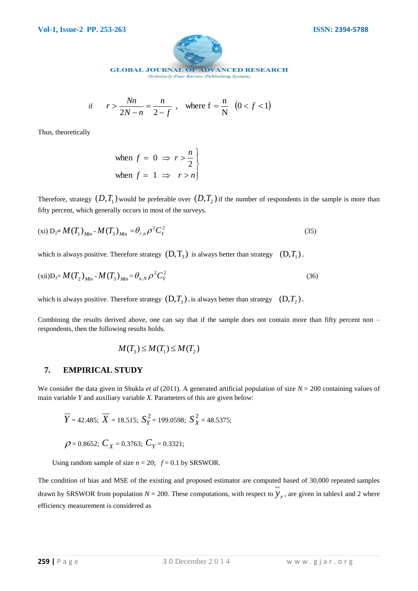

(Scholarly Peer Review Publishing System)

if 
$$
r > \frac{Nn}{2N - n} = \frac{n}{2 - f}
$$
, where  $f = \frac{n}{N}$   $(0 < f < 1)$ 

Thus, theoretically

when 
$$
f = 0 \Rightarrow r > \frac{n}{2}
$$
  
when  $f = 1 \Rightarrow r > n$ 

Therefore, strategy  $(D,T_1)$  would be preferable over  $(D,T_2)$  if the number of respondents in the sample is more than fifty percent, which generally occurs in most of the surveys.

$$
(xi) D_2 = M(T_1)_{Min} - M(T_3)_{Min} = \theta_{r,n} \rho^2 C_Y^2
$$
\n(35)

which is always positive. Therefore strategy  $(D, T_3)$  is always better than strategy  $(D, T_1)$ .

$$
(xii)D_3 = M(T_2)_{Min} - M(T_3)_{Min} = \theta_{n,N} \rho^2 C_Y^2
$$
\n(36)

which is always positive. Therefore strategy  $(D, T_3)$  is always better than strategy  $(D, T_2)$ .

Combining the results derived above, one can say that if the sample does not contain more than fifty percent non – respondents, then the following results holds.

$$
M(T_3) \le M(T_1) \le M(T_2)
$$

#### **7. EMPIRICAL STUDY**

We consider the data given in Shukla *et al* (2011). A generated artificial population of size  $N = 200$  containing values of main variable *Y* and auxiliary variable *X*. Parameters of this are given below:

$$
\overline{Y}
$$
 = 42.485;  $\overline{X}$  = 18.515;  $S_Y^2$  = 199.0598;  $S_X^2$  = 48.5375;

 $\rho$  = 0.8652;  $C_X$  = 0.3763;  $C_Y$  = 0.3321;

Using random sample of size  $n = 20$ ;  $f = 0.1$  by SRSWOR.

The condition of bias and MSE of the existing and proposed estimator are computed based of 30,000 repeated samples drawn by SRSWOR from population  $N = 200$ . These computations, with respect to  $y_r$ , are given in tables1 and 2 where efficiency measurement is considered as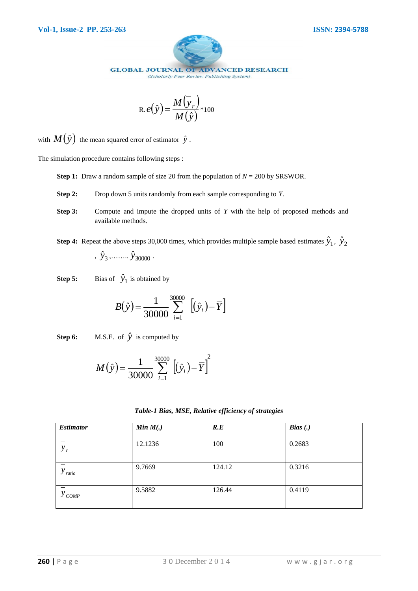

(Scholarly Peer Review Publishing System)

$$
R. e(\hat{y}) = \frac{M(\bar{y}_r)}{M(\hat{y})} *_{100}
$$

with  $M(\hat{y})$  the mean squared error of estimator  $\hat{y}$ .

The simulation procedure contains following steps :

- **Step 1:** Draw a random sample of size 20 from the population of *N* = 200 by SRSWOR.
- **Step 2:** Drop down 5 units randomly from each sample corresponding to *Y*.
- **Step 3:** Compute and impute the dropped units of *Y* with the help of proposed methods and available methods.
- **Step 4:** Repeat the above steps 30,000 times, which provides multiple sample based estimates  $\hat{y}_1$ ,  $\hat{y}_2$ ,  $\hat{y}_3$ ,  $\cdots$   $\hat{y}_{30000}$ .
- **Step 5:** Bias of  $\hat{y}_1$  is obtained by

$$
B(\hat{y}) = \frac{1}{30000} \sum_{i=1}^{30000} \left[ (\hat{y}_i) - \overline{Y} \right]
$$

**Step 6:** M.S.E. of  $\hat{y}$  is computed by

$$
M(\hat{y}) = \frac{1}{30000} \sum_{i=1}^{30000} [(\hat{y}_i) - \overline{Y}]^2
$$

| Table-1 Bias, MSE, Relative efficiency of strategies |  |  |  |  |
|------------------------------------------------------|--|--|--|--|
|------------------------------------------------------|--|--|--|--|

| <b>Estimator</b>    | Min M(.) | R.E    | Bias(.) |
|---------------------|----------|--------|---------|
| $y_r$               | 12.1236  | 100    | 0.2683  |
| $y_{\text{ratio}}$  | 9.7669   | 124.12 | 0.3216  |
| $y_{\textit{COMP}}$ | 9.5882   | 126.44 | 0.4119  |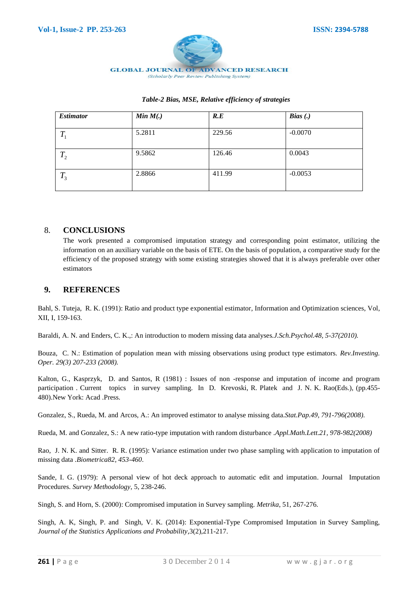

#### *Table-2 Bias, MSE, Relative efficiency of strategies*

| <i><b>Estimator</b></i> | Min M(.) | R.E    | Bias(.)   |
|-------------------------|----------|--------|-----------|
| $T_{1}$                 | 5.2811   | 229.56 | $-0.0070$ |
| $T_{2}$                 | 9.5862   | 126.46 | 0.0043    |
| $T_{3}$                 | 2.8866   | 411.99 | $-0.0053$ |

#### 8. **CONCLUSIONS**

The work presented a compromised imputation strategy and corresponding point estimator, utilizing the information on an auxiliary variable on the basis of ETE. On the basis of population, a comparative study for the efficiency of the proposed strategy with some existing strategies showed that it is always preferable over other estimators

#### **9. REFERENCES**

Bahl, S. Tuteja, R. K. (1991): Ratio and product type exponential estimator, Information and Optimization sciences, Vol, XII, I, 159-163.

Baraldi, A. N. and Enders, C. K.,: An introduction to modern missing data analyses*.J.Sch.Psychol.48, 5-37(2010).*

Bouza, C. N.: Estimation of population mean with missing observations using product type estimators. *Rev.Investing. Oper. 29(3) 207-233 (2008).*

Kalton, G., Kasprzyk, D. and Santos, R (1981) : Issues of non -response and imputation of income and program participation . Current topics in survey sampling. In D. Krevoski, R. Platek and J. N. K. Rao(Eds.), (pp.455- 480).New York: Acad .Press.

Gonzalez, S., Rueda, M. and Arcos, A.: An improved estimator to analyse missing data.*Stat.Pap.49, 791-796(2008).*

Rueda, M. and Gonzalez, S.: A new ratio-type imputation with random disturbance .*Appl.Math.Lett.21, 978-982(2008)*

Rao, J. N. K. and Sitter. R. R. (1995): Variance estimation under two phase sampling with application to imputation of missing data .*Biometrica82, 453-460*.

Sande, I. G. (1979): A personal view of hot deck approach to automatic edit and imputation. Journal Imputation Procedures. *Survey Methodology*, 5, 238-246.

Singh, S. and Horn, S. (2000): Compromised imputation in Survey sampling. *Metrika*, 51, 267-276.

Singh, A. K, Singh, P. and Singh, V. K. (2014): Exponential-Type Compromised Imputation in Survey Sampling, *Journal of the Statistics Applications and Probability*,3(2),211-217.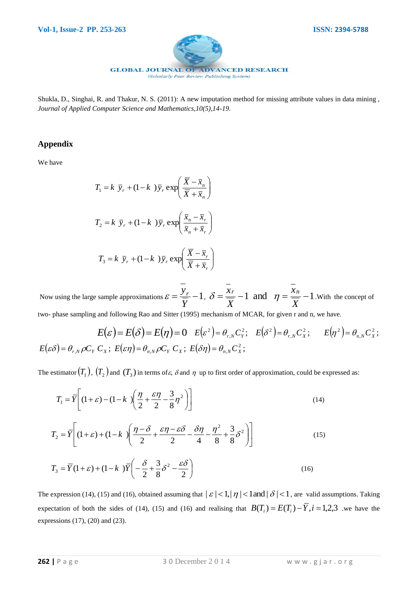

Shukla, D., Singhai, R. and Thakur, N. S. (2011): A new imputation method for missing attribute values in data mining , *Journal of Applied Computer Science and Mathematics,10(5),14-19.*

#### **Appendix**

We have

$$
T_1 = k \ \overline{y}_r + (1 - k \ )\overline{y}_r \exp\left(\frac{\overline{X} - \overline{x}_n}{\overline{X} + \overline{x}_n}\right)
$$

$$
T_2 = k \ \overline{y}_r + (1 - k \ )\overline{y}_r \exp\left(\frac{\overline{x}_n - \overline{x}_r}{\overline{x}_n + \overline{x}_r}\right)
$$

$$
T_3 = k \ \overline{y}_r + (1 - k \ )\overline{y}_r \exp\left(\frac{\overline{X} - \overline{x}_r}{\overline{X} + \overline{x}_r}\right)
$$

Now using the large sample approximations  $\varepsilon = \frac{y_r}{\sqrt{1 - x^2}} - 1$ *Y*  $\varepsilon = \frac{y_r}{\sqrt{2}} - 1$ ,  $\delta = \frac{x_r}{\sqrt{2}} - 1$ *X xr*  $\delta = \frac{\lambda r}{\sigma} - 1$  and  $\eta = \frac{\lambda n}{\sigma} - 1$ *X xn*  $\eta = \frac{0}{\pi} - 1$ . With the concept of

two- phase sampling and following Rao and Sitter (1995) mechanism of MCAR, for given r and n, we have.

$$
E(\varepsilon) = E(\delta) = E(\eta) = 0 \quad E(\varepsilon^2) = \theta_{r,N} C_Y^2; \quad E(\delta^2) = \theta_{r,N} C_X^2; \quad E(\eta^2) = \theta_{n,N} C_X^2;
$$
  

$$
E(\varepsilon \delta) = \theta_{r,N} \rho C_Y C_X; \quad E(\varepsilon \eta) = \theta_{n,N} \rho C_Y C_X; \quad E(\delta \eta) = \theta_{n,N} C_X^2;
$$

The estimator  $(T_1)$ ,  $(T_2)$  and  $(T_3)$  in terms of  $\varepsilon$ ,  $\delta$  and  $\eta$  up to first order of approximation, could be expressed as:

$$
T_1 = \overline{Y} \left[ (1+\varepsilon) - (1-k) \left( \frac{\eta}{2} + \frac{\varepsilon \eta}{2} - \frac{3}{8} \eta^2 \right) \right]
$$
 (14)

$$
T_2 = \overline{Y} \left[ (1+\varepsilon) + (1-k) \left( \frac{\eta - \delta}{2} + \frac{\varepsilon \eta - \varepsilon \delta}{2} - \frac{\delta \eta}{4} - \frac{\eta^2}{8} + \frac{3}{8} \delta^2 \right) \right]
$$
(15)

$$
T_3 = \overline{Y}(1+\varepsilon) + (1-k)\overline{Y}\left(-\frac{\delta}{2} + \frac{3}{8}\delta^2 - \frac{\varepsilon \delta}{2}\right)
$$
 (16)

The expression (14), (15) and (16), obtained assuming that  $|\varepsilon| < 1, |\eta| < 1$  and  $|\delta| < 1$ , are valid assumptions. Taking expectation of both the sides of (14), (15) and (16) and realising that  $B(T_i) = E(T_i) - \overline{Y}, i = 1,2,3$  we have the expressions (17), (20) and (23).